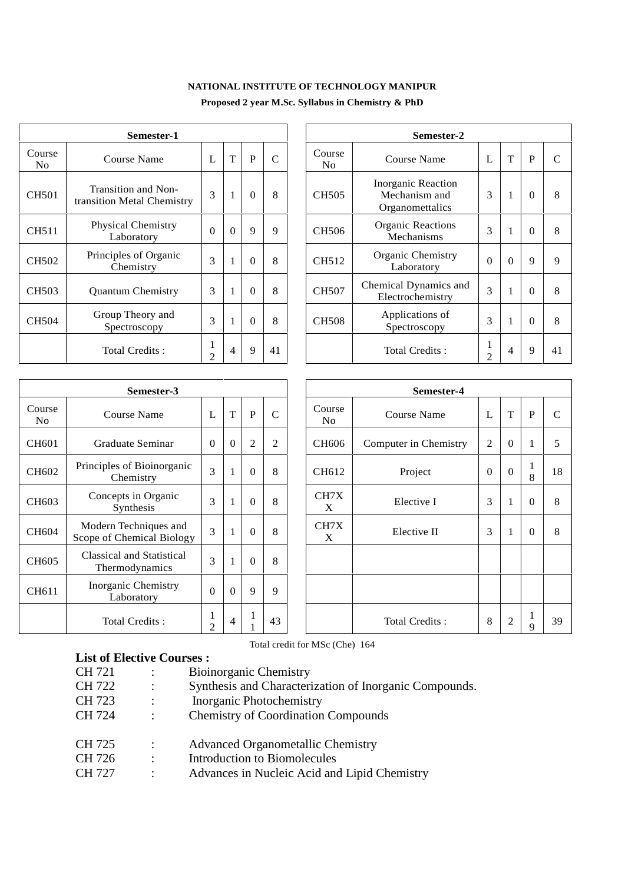# **NATIONAL INSTITUTE OF TECHNOLOGY MANIPUR**

|                          | Semester-1                                        |                | Semester-2 |          |               |               |                                                        |                                |  |
|--------------------------|---------------------------------------------------|----------------|------------|----------|---------------|---------------|--------------------------------------------------------|--------------------------------|--|
| Course<br>N <sub>0</sub> | Course Name                                       | L              | T          | P        | $\mathcal{C}$ | Course<br>No. | Course Name                                            | L                              |  |
| <b>CH501</b>             | Transition and Non-<br>transition Metal Chemistry | 3              |            | $\Omega$ | 8             | <b>CH505</b>  | Inorganic Reaction<br>Mechanism and<br>Organomettalics | 3                              |  |
| <b>CH511</b>             | Physical Chemistry<br>Laboratory                  | $\Omega$       | $\Omega$   | 9        | 9             | CH506         | <b>Organic Reactions</b><br>Mechanisms                 | 3                              |  |
| <b>CH502</b>             | Principles of Organic<br>Chemistry                | 3              |            | $\theta$ | 8             | CH512         | <b>Organic Chemistry</b><br>Laboratory                 | $\Omega$                       |  |
| <b>CH503</b>             | <b>Quantum Chemistry</b>                          | 3              |            | 0        | 8             | <b>CH507</b>  | Chemical Dynamics and<br>Electrochemistry              | 3                              |  |
| <b>CH504</b>             | Group Theory and<br>Spectroscopy                  | 3              |            | $\theta$ | 8             | <b>CH508</b>  | Applications of<br>Spectroscopy                        | 3                              |  |
|                          | Total Credits:                                    | $\overline{2}$ | 4          | 9        | 41            |               | Total Credits:                                         | $\mathbf{r}$<br>$\overline{2}$ |  |

| Semester-1                           |                |              |          |    |  | Semester-2               |                                                        |                |                |          |    |  |
|--------------------------------------|----------------|--------------|----------|----|--|--------------------------|--------------------------------------------------------|----------------|----------------|----------|----|--|
| 'ourse Name                          | L              | T            | P        | C  |  | Course<br>N <sub>0</sub> | Course Name                                            | L              | T              | P        | C  |  |
| sition and Non-<br>n Metal Chemistry | 3              | $\mathbf{1}$ | $\theta$ | 8  |  | <b>CH505</b>             | Inorganic Reaction<br>Mechanism and<br>Organomettalics | 3              | 1              | $\theta$ | 8  |  |
| sical Chemistry<br>Laboratory        | $\Omega$       | $\theta$     | 9        | 9  |  | <b>CH506</b>             | <b>Organic Reactions</b><br>Mechanisms                 | 3              |                | $\Omega$ | 8  |  |
| iples of Organic<br>Chemistry        | 3              | 1            | $\theta$ | 8  |  | CH512                    | Organic Chemistry<br>Laboratory                        | $\theta$       | $\Omega$       | 9        | 9  |  |
| ntum Chemistry                       | 3              | 1            | $\theta$ | 8  |  | <b>CH507</b>             | Chemical Dynamics and<br>Electrochemistry              | 3              | 1              | $\theta$ | 8  |  |
| up Theory and<br>pectroscopy         | 3              | $\mathbf{1}$ | $\theta$ | 8  |  | <b>CH508</b>             | Applications of<br>Spectroscopy                        | 3              | 1              | $\Omega$ | 8  |  |
| otal Credits :                       | $\overline{2}$ | 4            | 9        | 41 |  |                          | Total Credits:                                         | $\overline{2}$ | $\overline{4}$ | 9        | 41 |  |

|                          | Semester-3                                         |                     |          |                |                |                          |        |
|--------------------------|----------------------------------------------------|---------------------|----------|----------------|----------------|--------------------------|--------|
| Course<br>N <sub>0</sub> | Course Name                                        | L                   | T        | P              | $\mathcal{C}$  | Course<br>N <sub>0</sub> | Co     |
| CH601                    | Graduate Seminar                                   | $\Omega$            | $\theta$ | $\overline{c}$ | $\overline{2}$ | CH <sub>606</sub>        | Comput |
| CH602                    | Principles of Bioinorganic<br>Chemistry            | 3                   | 1        | $\theta$       | 8              | CH612                    |        |
| CH603                    | Concepts in Organic<br>Synthesis                   | 3                   | 1        | $\theta$       | 8              | CH7X<br>X                | F      |
| CH604                    | Modern Techniques and<br>Scope of Chemical Biology | 3                   | 1        | $\theta$       | 8              | CH7X<br>X                | E      |
| CH605                    | Classical and Statistical<br>Thermodynamics        | 3                   | 1        | $\Omega$       | 8              |                          |        |
| CH611                    | Inorganic Chemistry<br>Laboratory                  | $\theta$            | $\theta$ | 9              | 9              |                          |        |
|                          | Total Credits:                                     | 1<br>$\overline{2}$ | 4        | 1<br>1         | 43             |                          | Tot    |

|                          | Semester-3                                         |                |              |                |               | Semester-4    |                       |                  |                |             |             |
|--------------------------|----------------------------------------------------|----------------|--------------|----------------|---------------|---------------|-----------------------|------------------|----------------|-------------|-------------|
| Course<br>N <sub>o</sub> | Course Name                                        | L              | $\mathbf T$  | P              | $\mathcal{C}$ | Course<br>No. | <b>Course Name</b>    | L                | $\mathbf T$    | $\mathbf P$ | $\mathbf C$ |
| CH601                    | Graduate Seminar                                   | $\overline{0}$ | $\mathbf{0}$ | $\mathfrak{2}$ | 2             | <b>CH606</b>  | Computer in Chemistry | $\mathbf{2}$     | $\theta$       |             | 5           |
| CH602                    | Principles of Bioinorganic<br>Chemistry            | 3              | 1            | $\theta$       | 8             | CH612         | Project               | $\boldsymbol{0}$ | $\Omega$       | 8           | 18          |
| CH603                    | Concepts in Organic<br>Synthesis                   | 3              | 1            | $\Omega$       | 8             | CH7X<br>X     | Elective I            | 3                |                | $\Omega$    | 8           |
| CH604                    | Modern Techniques and<br>Scope of Chemical Biology | 3              | $\mathbf{1}$ | $\Omega$       | 8             | CH7X<br>X     | Elective II           | 3                |                | $\Omega$    | 8           |
| CH605                    | Classical and Statistical<br>Thermodynamics        | 3              | 1            | $\Omega$       | 8             |               |                       |                  |                |             |             |
| CH611                    | <b>Inorganic Chemistry</b><br>Laboratory           | $\Omega$       | $\Omega$     | 9              | 9             |               |                       |                  |                |             |             |
|                          | Total Credits:                                     | 2              | 4            |                | 43            |               | Total Credits:        | 8                | $\overline{2}$ | 9           | 39          |

Total credit for MSc (Che) 164

| <b>List of Elective Courses:</b> |                      |                                                        |
|----------------------------------|----------------------|--------------------------------------------------------|
| <b>CH 721</b>                    |                      | <b>Bioinorganic Chemistry</b>                          |
| <b>CH 722</b>                    |                      | Synthesis and Characterization of Inorganic Compounds. |
| CH 723                           |                      | <b>Inorganic Photochemistry</b>                        |
| <b>CH 724</b>                    |                      | <b>Chemistry of Coordination Compounds</b>             |
| CH 725                           | $\ddot{\phantom{a}}$ | <b>Advanced Organometallic Chemistry</b>               |
| CH 726                           | $\ddot{\phantom{0}}$ | Introduction to Biomolecules                           |
| <b>CH 727</b>                    | $\ddot{\phantom{a}}$ | Advances in Nucleic Acid and Lipid Chemistry           |
|                                  |                      |                                                        |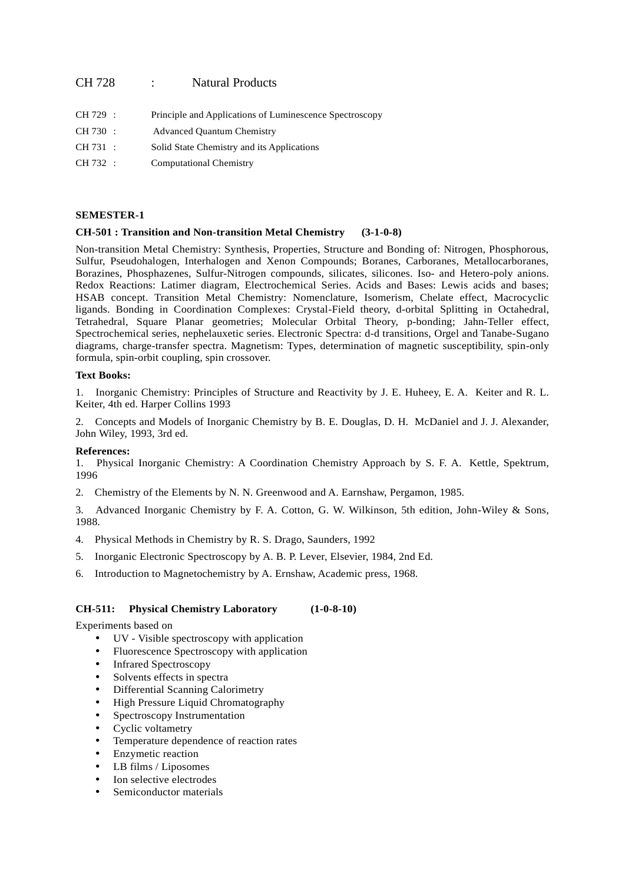# CH 728 : Natural Products

| CH 729 : | Principle and Applications of Luminescence Spectroscopy |
|----------|---------------------------------------------------------|
| CH 730 : | <b>Advanced Ouantum Chemistry</b>                       |
| CH 731 : | Solid State Chemistry and its Applications              |
| CH 732 : | <b>Computational Chemistry</b>                          |

# **SEMESTER-1**

# **CH-501 : Transition and Non-transition Metal Chemistry (3-1-0-8)**

Non-transition Metal Chemistry: Synthesis, Properties, Structure and Bonding of: Nitrogen, Phosphorous, Sulfur, Pseudohalogen, Interhalogen and Xenon Compounds; Boranes, Carboranes, Metallocarboranes, Borazines, Phosphazenes, Sulfur-Nitrogen compounds, silicates, silicones. Iso- and Hetero-poly anions. Redox Reactions: Latimer diagram, Electrochemical Series. Acids and Bases: Lewis acids and bases; HSAB concept. Transition Metal Chemistry: Nomenclature, Isomerism, Chelate effect, Macrocyclic ligands. Bonding in Coordination Complexes: Crystal-Field theory, d-orbital Splitting in Octahedral, Tetrahedral, Square Planar geometries; Molecular Orbital Theory, p-bonding; Jahn-Teller effect, Spectrochemical series, nephelauxetic series. Electronic Spectra: d-d transitions, Orgel and Tanabe-Sugano diagrams, charge-transfer spectra. Magnetism: Types, determination of magnetic susceptibility, spin-only formula, spin-orbit coupling, spin crossover.

# **Text Books:**

1. Inorganic Chemistry: Principles of Structure and Reactivity by J. E. Huheey, E. A. Keiter and R. L. Keiter, 4th ed. Harper Collins 1993

2. Concepts and Models of Inorganic Chemistry by B. E. Douglas, D. H. McDaniel and J. J. Alexander, John Wiley, 1993, 3rd ed.

# **References:**

1. Physical Inorganic Chemistry: A Coordination Chemistry Approach by S. F. A. Kettle, Spektrum, 1996

2. Chemistry of the Elements by N. N. Greenwood and A. Earnshaw, Pergamon, 1985.

3. Advanced Inorganic Chemistry by F. A. Cotton, G. W. Wilkinson, 5th edition, John-Wiley & Sons, 1988.

- 4. Physical Methods in Chemistry by R. S. Drago, Saunders, 1992
- 5. Inorganic Electronic Spectroscopy by A. B. P. Lever, Elsevier, 1984, 2nd Ed.
- 6. Introduction to Magnetochemistry by A. Ernshaw, Academic press, 1968.

# **CH-511: Physical Chemistry Laboratory (1-0-8-10)**

Experiments based on

- UV Visible spectroscopy with application
- Fluorescence Spectroscopy with application
- Infrared Spectroscopy
- Solvents effects in spectra
- Differential Scanning Calorimetry
- High Pressure Liquid Chromatography
- Spectroscopy Instrumentation
- Cyclic voltametry
- Temperature dependence of reaction rates
- Enzymetic reaction
- LB films / Liposomes
- Ion selective electrodes
- Semiconductor materials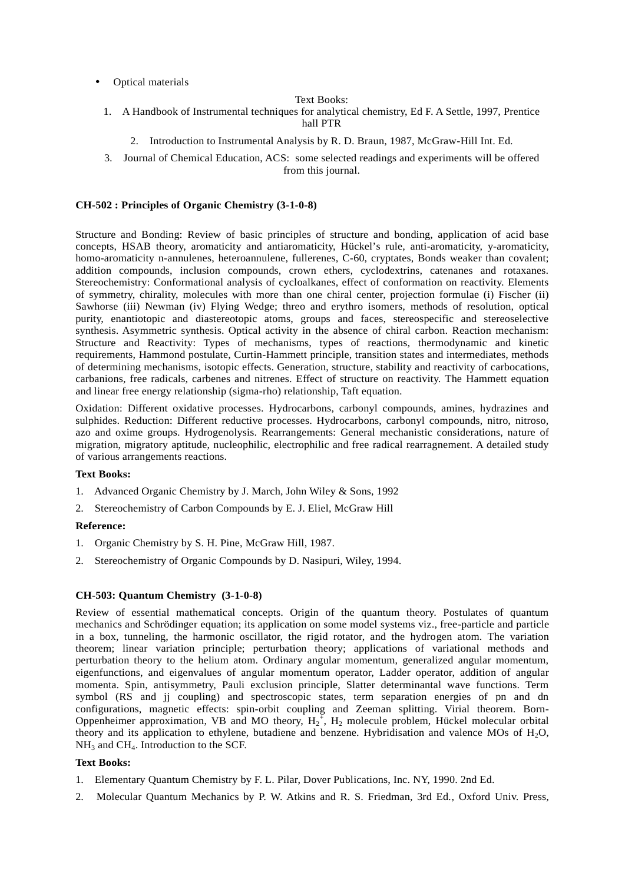• Optical materials

#### Text Books:

- 1. A Handbook of Instrumental techniques for analytical chemistry, Ed F. A Settle, 1997, Prentice hall PTR
	- 2. Introduction to Instrumental Analysis by R. D. Braun, 1987, McGraw-Hill Int. Ed.
- 3. Journal of Chemical Education, ACS: some selected readings and experiments will be offered from this journal.

### **CH-502 : Principles of Organic Chemistry (3-1-0-8)**

Structure and Bonding: Review of basic principles of structure and bonding, application of acid base concepts, HSAB theory, aromaticity and antiaromaticity, Hückel's rule, anti-aromaticity, y-aromaticity, homo-aromaticity n-annulenes, heteroannulene, fullerenes, C-60, cryptates, Bonds weaker than covalent; addition compounds, inclusion compounds, crown ethers, cyclodextrins, catenanes and rotaxanes. Stereochemistry: Conformational analysis of cycloalkanes, effect of conformation on reactivity. Elements of symmetry, chirality, molecules with more than one chiral center, projection formulae (i) Fischer (ii) Sawhorse (iii) Newman (iv) Flying Wedge; threo and erythro isomers, methods of resolution, optical purity, enantiotopic and diastereotopic atoms, groups and faces, stereospecific and stereoselective synthesis. Asymmetric synthesis. Optical activity in the absence of chiral carbon. Reaction mechanism: Structure and Reactivity: Types of mechanisms, types of reactions, thermodynamic and kinetic requirements, Hammond postulate, Curtin-Hammett principle, transition states and intermediates, methods of determining mechanisms, isotopic effects. Generation, structure, stability and reactivity of carbocations, carbanions, free radicals, carbenes and nitrenes. Effect of structure on reactivity. The Hammett equation and linear free energy relationship (sigma-rho) relationship, Taft equation.

Oxidation: Different oxidative processes. Hydrocarbons, carbonyl compounds, amines, hydrazines and sulphides. Reduction: Different reductive processes. Hydrocarbons, carbonyl compounds, nitro, nitroso, azo and oxime groups. Hydrogenolysis. Rearrangements: General mechanistic considerations, nature of migration, migratory aptitude, nucleophilic, electrophilic and free radical rearragnement. A detailed study of various arrangements reactions.

# **Text Books:**

- 1. Advanced Organic Chemistry by J. March, John Wiley & Sons, 1992
- 2. Stereochemistry of Carbon Compounds by E. J. Eliel, McGraw Hill

#### **Reference:**

- 1. Organic Chemistry by S. H. Pine, McGraw Hill, 1987.
- 2. Stereochemistry of Organic Compounds by D. Nasipuri, Wiley, 1994.

# **CH-503: Quantum Chemistry (3-1-0-8)**

Review of essential mathematical concepts. Origin of the quantum theory. Postulates of quantum mechanics and Schrödinger equation; its application on some model systems viz., free-particle and particle in a box, tunneling, the harmonic oscillator, the rigid rotator, and the hydrogen atom. The variation theorem; linear variation principle; perturbation theory; applications of variational methods and perturbation theory to the helium atom. Ordinary angular momentum, generalized angular momentum, eigenfunctions, and eigenvalues of angular momentum operator, Ladder operator, addition of angular momenta. Spin, antisymmetry, Pauli exclusion principle, Slatter determinantal wave functions. Term symbol (RS and jj coupling) and spectroscopic states, term separation energies of pn and dn configurations, magnetic effects: spin-orbit coupling and Zeeman splitting. Virial theorem. Born- Oppenheimer approximation, VB and MO theory,  $H_2^{\dagger}$ ,  $H_2$  molecule problem, Hückel molecular orbital theory and its application to ethylene, butadiene and benzene. Hybridisation and valence MOs of  $H_2O$ ,  $NH<sub>3</sub>$  and CH<sub>4</sub>. Introduction to the SCF.

# **Text Books:**

- 1. Elementary Quantum Chemistry by F. L. Pilar, Dover Publications, Inc. NY, 1990. 2nd Ed.
- 2. Molecular Quantum Mechanics by P. W. Atkins and R. S. Friedman, 3rd Ed., Oxford Univ. Press,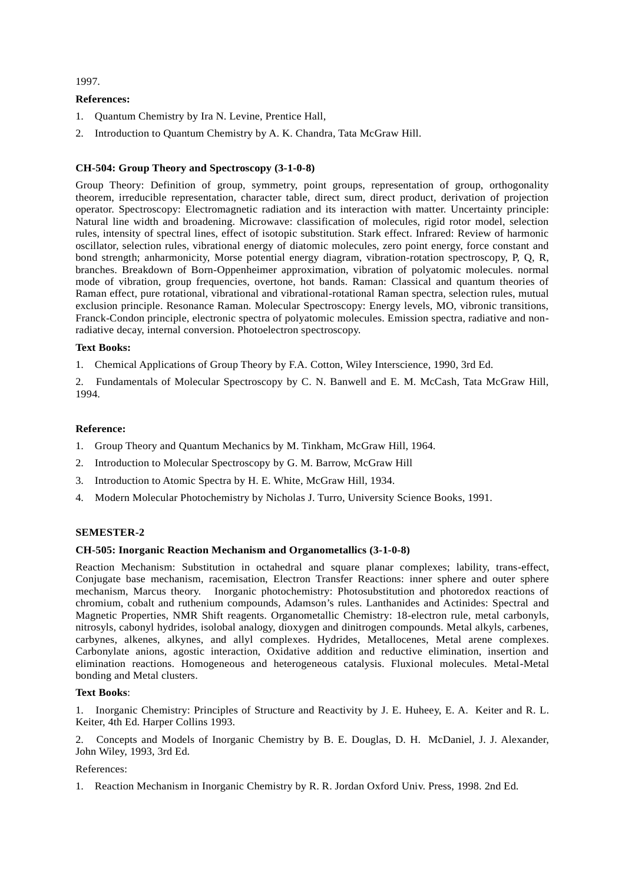# 1997.

# **References:**

- 1. Quantum Chemistry by Ira N. Levine, Prentice Hall,
- 2. Introduction to Quantum Chemistry by A. K. Chandra, Tata McGraw Hill.

# **CH-504: Group Theory and Spectroscopy (3-1-0-8)**

Group Theory: Definition of group, symmetry, point groups, representation of group, orthogonality theorem, irreducible representation, character table, direct sum, direct product, derivation of projection operator. Spectroscopy: Electromagnetic radiation and its interaction with matter. Uncertainty principle: Natural line width and broadening. Microwave: classification of molecules, rigid rotor model, selection rules, intensity of spectral lines, effect of isotopic substitution. Stark effect. Infrared: Review of harmonic oscillator, selection rules, vibrational energy of diatomic molecules, zero point energy, force constant and bond strength; anharmonicity, Morse potential energy diagram, vibration-rotation spectroscopy, P, Q, R, branches. Breakdown of Born-Oppenheimer approximation, vibration of polyatomic molecules. normal mode of vibration, group frequencies, overtone, hot bands. Raman: Classical and quantum theories of Raman effect, pure rotational, vibrational and vibrational-rotational Raman spectra, selection rules, mutual exclusion principle. Resonance Raman. Molecular Spectroscopy: Energy levels, MO, vibronic transitions, Franck-Condon principle, electronic spectra of polyatomic molecules. Emission spectra, radiative and nonradiative decay, internal conversion. Photoelectron spectroscopy.

# **Text Books:**

1. Chemical Applications of Group Theory by F.A. Cotton, Wiley Interscience, 1990, 3rd Ed.

2. Fundamentals of Molecular Spectroscopy by C. N. Banwell and E. M. McCash, Tata McGraw Hill, 1994.

#### **Reference:**

- 1. Group Theory and Quantum Mechanics by M. Tinkham, McGraw Hill, 1964.
- 2. Introduction to Molecular Spectroscopy by G. M. Barrow, McGraw Hill
- 3. Introduction to Atomic Spectra by H. E. White, McGraw Hill, 1934.
- 4. Modern Molecular Photochemistry by Nicholas J. Turro, University Science Books, 1991.

# **SEMESTER-2**

#### **CH-505: Inorganic Reaction Mechanism and Organometallics (3-1-0-8)**

Reaction Mechanism: Substitution in octahedral and square planar complexes; lability, trans-effect, Conjugate base mechanism, racemisation, Electron Transfer Reactions: inner sphere and outer sphere mechanism, Marcus theory. Inorganic photochemistry: Photosubstitution and photoredox reactions of chromium, cobalt and ruthenium compounds, Adamson's rules. Lanthanides and Actinides: Spectral and Magnetic Properties, NMR Shift reagents. Organometallic Chemistry: 18-electron rule, metal carbonyls, nitrosyls, cabonyl hydrides, isolobal analogy, dioxygen and dinitrogen compounds. Metal alkyls, carbenes, carbynes, alkenes, alkynes, and allyl complexes. Hydrides, Metallocenes, Metal arene complexes. Carbonylate anions, agostic interaction, Oxidative addition and reductive elimination, insertion and elimination reactions. Homogeneous and heterogeneous catalysis. Fluxional molecules. Metal-Metal bonding and Metal clusters.

#### **Text Books**:

1. Inorganic Chemistry: Principles of Structure and Reactivity by J. E. Huheey, E. A. Keiter and R. L. Keiter, 4th Ed. Harper Collins 1993.

2. Concepts and Models of Inorganic Chemistry by B. E. Douglas, D. H. McDaniel, J. J. Alexander, John Wiley, 1993, 3rd Ed.

#### References:

1. Reaction Mechanism in Inorganic Chemistry by R. R. Jordan Oxford Univ. Press, 1998. 2nd Ed.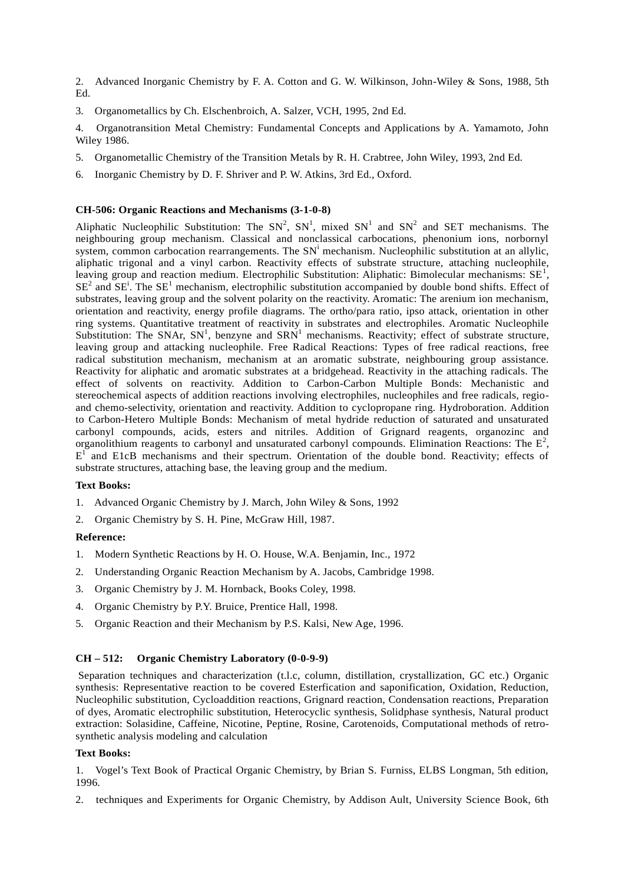2. Advanced Inorganic Chemistry by F. A. Cotton and G. W. Wilkinson, John-Wiley & Sons, 1988, 5th Ed.

3. Organometallics by Ch. Elschenbroich, A. Salzer, VCH, 1995, 2nd Ed.

4. Organotransition Metal Chemistry: Fundamental Concepts and Applications by A. Yamamoto, John Wiley 1986.

- 5. Organometallic Chemistry of the Transition Metals by R. H. Crabtree, John Wiley, 1993, 2nd Ed.
- 6. Inorganic Chemistry by D. F. Shriver and P. W. Atkins, 3rd Ed., Oxford.

# **CH-506: Organic Reactions and Mechanisms (3-1-0-8)**

Aliphatic Nucleophilic Substitution: The  $SN^2$ ,  $SN^1$ , mixed  $SN^1$  and  $SN^2$  and SET mechanisms. The neighbouring group mechanism. Classical and nonclassical carbocations, phenonium ions, norbornyl system, common carbocation rearrangements. The  $SN<sup>i</sup>$  mechanism. Nucleophilic substitution at an allylic, aliphatic trigonal and a vinyl carbon. Reactivity effects of substrate structure, attaching nucleophile, leaving group and reaction medium. Electrophilic Substitution: Aliphatic: Bimolecular mechanisms: SE<sup>1</sup>,  $SE<sup>2</sup>$  and  $SE<sup>1</sup>$ . The  $SE<sup>1</sup>$  mechanism, electrophilic substitution accompanied by double bond shifts. Effect of substrates, leaving group and the solvent polarity on the reactivity. Aromatic: The arenium ion mechanism, orientation and reactivity, energy profile diagrams. The ortho/para ratio, ipso attack, orientation in other ring systems. Quantitative treatment of reactivity in substrates and electrophiles. Aromatic Nucleophile Substitution: The SNAr,  $SN<sup>1</sup>$ , benzyne and  $SRN<sup>1</sup>$  mechanisms. Reactivity; effect of substrate structure, leaving group and attacking nucleophile. Free Radical Reactions: Types of free radical reactions, free radical substitution mechanism, mechanism at an aromatic substrate, neighbouring group assistance. Reactivity for aliphatic and aromatic substrates at a bridgehead. Reactivity in the attaching radicals. The effect of solvents on reactivity. Addition to Carbon-Carbon Multiple Bonds: Mechanistic and stereochemical aspects of addition reactions involving electrophiles, nucleophiles and free radicals, regio and chemo-selectivity, orientation and reactivity. Addition to cyclopropane ring. Hydroboration. Addition to Carbon-Hetero Multiple Bonds: Mechanism of metal hydride reduction of saturated and unsaturated carbonyl compounds, acids, esters and nitriles. Addition of Grignard reagents, organozinc and organolithium reagents to carbonyl and unsaturated carbonyl compounds. Elimination Reactions: The  $E^2$ , E<sup>1</sup> and E1cB mechanisms and their spectrum. Orientation of the double bond. Reactivity; effects of substrate structures, attaching base, the leaving group and the medium.

#### **Text Books:**

- 1. Advanced Organic Chemistry by J. March, John Wiley & Sons, 1992
- 2. Organic Chemistry by S. H. Pine, McGraw Hill, 1987.

# **Reference:**

- 1. Modern Synthetic Reactions by H. O. House, W.A. Benjamin, Inc., 1972
- 2. Understanding Organic Reaction Mechanism by A. Jacobs, Cambridge 1998.
- 3. Organic Chemistry by J. M. Hornback, Books Coley, 1998.
- 4. Organic Chemistry by P.Y. Bruice, Prentice Hall, 1998.
- 5. Organic Reaction and their Mechanism by P.S. Kalsi, New Age, 1996.

# **CH – 512: Organic Chemistry Laboratory (0-0-9-9)**

Separation techniques and characterization (t.l.c, column, distillation, crystallization, GC etc.) Organic synthesis: Representative reaction to be covered Esterfication and saponification, Oxidation, Reduction, Nucleophilic substitution, Cycloaddition reactions, Grignard reaction, Condensation reactions, Preparation of dyes, Aromatic electrophilic substitution, Heterocyclic synthesis, Solidphase synthesis, Natural product extraction: Solasidine, Caffeine, Nicotine, Peptine, Rosine, Carotenoids, Computational methods of retro synthetic analysis modeling and calculation

### **Text Books:**

1. Vogel's Text Book of Practical Organic Chemistry, by Brian S. Furniss, ELBS Longman, 5th edition, 1996.

2. techniques and Experiments for Organic Chemistry, by Addison Ault, University Science Book, 6th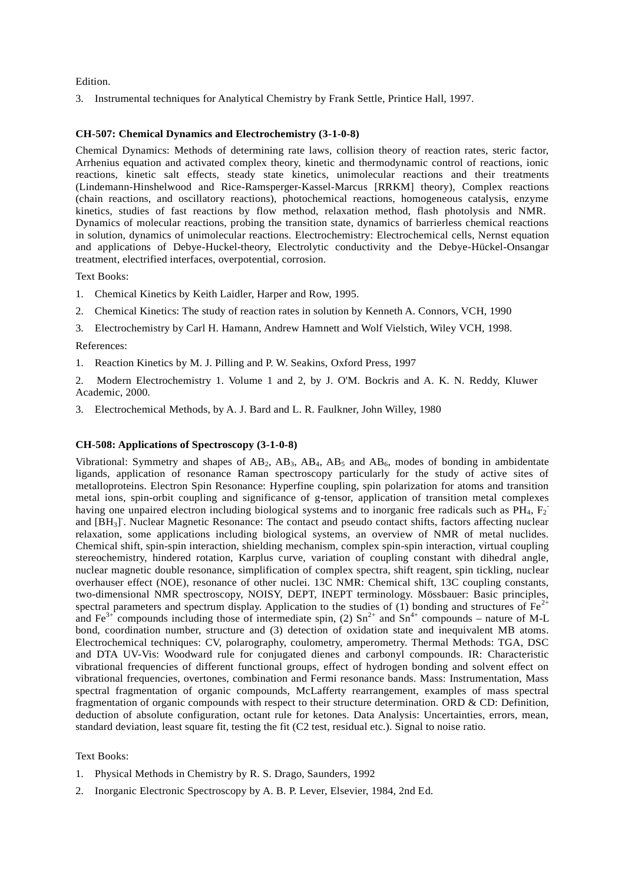Edition.

3. Instrumental techniques for Analytical Chemistry by Frank Settle, Printice Hall, 1997.

# **CH-507: Chemical Dynamics and Electrochemistry (3-1-0-8)**

Chemical Dynamics: Methods of determining rate laws, collision theory of reaction rates, steric factor, Arrhenius equation and activated complex theory, kinetic and thermodynamic control of reactions, ionic reactions, kinetic salt effects, steady state kinetics, unimolecular reactions and their treatments (Lindemann-Hinshelwood and Rice-Ramsperger-Kassel-Marcus [RRKM] theory), Complex reactions (chain reactions, and oscillatory reactions), photochemical reactions, homogeneous catalysis, enzyme kinetics, studies of fast reactions by flow method, relaxation method, flash photolysis and NMR. Dynamics of molecular reactions, probing the transition state, dynamics of barrierless chemical reactions in solution, dynamics of unimolecular reactions. Electrochemistry: Electrochemical cells, Nernst equation and applications of Debye-Huckel-theory, Electrolytic conductivity and the Debye-Hückel-Onsangar treatment, electrified interfaces, overpotential, corrosion.

Text Books:

- 1. Chemical Kinetics by Keith Laidler, Harper and Row, 1995.
- 2. Chemical Kinetics: The study of reaction rates in solution by Kenneth A. Connors, VCH, 1990
- 3. Electrochemistry by Carl H. Hamann, Andrew Hamnett and Wolf Vielstich, Wiley VCH, 1998. References:
- 1. Reaction Kinetics by M. J. Pilling and P. W. Seakins, Oxford Press, 1997
- 2. Modern Electrochemistry 1. Volume 1 and 2, by J. O'M. Bockris and A. K. N. Reddy, Kluwer Academic, 2000.
- 3. Electrochemical Methods, by A. J. Bard and L. R. Faulkner, John Willey, 1980

### **CH-508: Applications of Spectroscopy (3-1-0-8)**

Vibrational: Symmetry and shapes of  $AB_2$ ,  $AB_3$ ,  $AB_4$ ,  $AB_5$  and  $AB_6$ , modes of bonding in ambidentate ligands, application of resonance Raman spectroscopy particularly for the study of active sites of metalloproteins. Electron Spin Resonance: Hyperfine coupling, spin polarization for atoms and transition metal ions, spin-orbit coupling and significance of g-tensor, application of transition metal complexes having one unpaired electron including biological systems and to inorganic free radicals such as  $\overline{PH}_4$ ,  $F_2$ and [BH<sub>3</sub>]. Nuclear Magnetic Resonance: The contact and pseudo contact shifts, factors affecting nuclear relaxation, some applications including biological systems, an overview of NMR of metal nuclides. Chemical shift, spin-spin interaction, shielding mechanism, complex spin-spin interaction, virtual coupling stereochemistry, hindered rotation, Karplus curve, variation of coupling constant with dihedral angle, nuclear magnetic double resonance, simplification of complex spectra, shift reagent, spin tickling, nuclear overhauser effect (NOE), resonance of other nuclei. 13C NMR: Chemical shift, 13C coupling constants, two-dimensional NMR spectroscopy, NOISY, DEPT, INEPT terminology. Mössbauer: Basic principles, spectral parameters and spectrum display. Application to the studies of (1) bonding and structures of  $Fe^{2+}$ and Fe<sup>3+</sup> compounds including those of intermediate spin, (2)  $\text{Sn}^{2+}$  and  $\text{Sn}^{4+}$  compounds – nature of M-L bond, coordination number, structure and (3) detection of oxidation state and inequivalent MB atoms. Electrochemical techniques: CV, polarography, coulometry, amperometry. Thermal Methods: TGA, DSC and DTA UV-Vis: Woodward rule for conjugated dienes and carbonyl compounds. IR: Characteristic vibrational frequencies of different functional groups, effect of hydrogen bonding and solvent effect on vibrational frequencies, overtones, combination and Fermi resonance bands. Mass: Instrumentation, Mass spectral fragmentation of organic compounds, McLafferty rearrangement, examples of mass spectral fragmentation of organic compounds with respect to their structure determination. ORD & CD: Definition, deduction of absolute configuration, octant rule for ketones. Data Analysis: Uncertainties, errors, mean, standard deviation, least square fit, testing the fit (C2 test, residual etc.). Signal to noise ratio.

Text Books:

- 1. Physical Methods in Chemistry by R. S. Drago, Saunders, 1992
- 2. Inorganic Electronic Spectroscopy by A. B. P. Lever, Elsevier, 1984, 2nd Ed.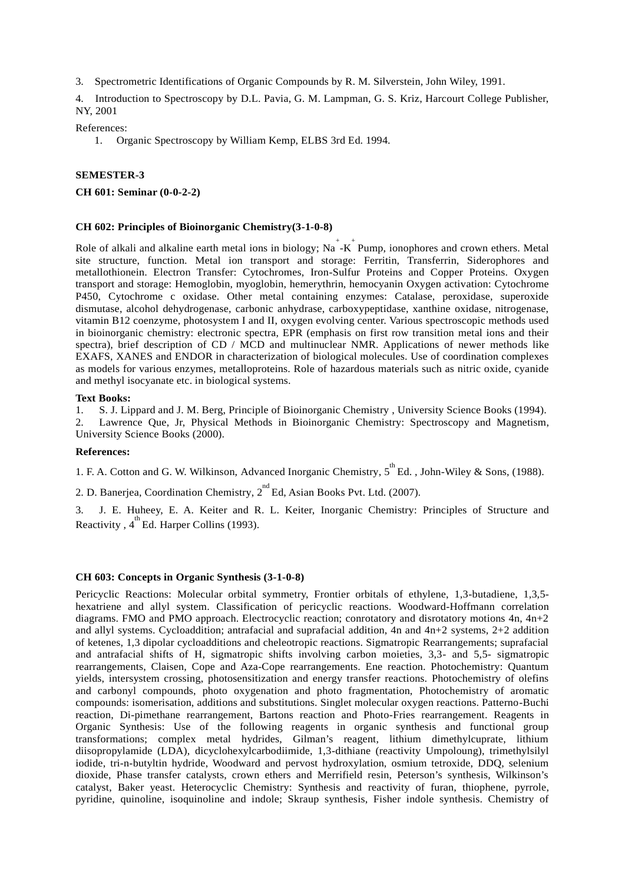3. Spectrometric Identifications of Organic Compounds by R. M. Silverstein, John Wiley, 1991.

4. Introduction to Spectroscopy by D.L. Pavia, G. M. Lampman, G. S. Kriz, Harcourt College Publisher, NY, 2001

References:

1. Organic Spectroscopy by William Kemp, ELBS 3rd Ed. 1994.

# **SEMESTER-3**

**CH 601: Seminar (0-0-2-2)**

# **CH 602: Principles of Bioinorganic Chemistry(3-1-0-8)**

Role of alkali and alkaline earth metal ions in biology;  $Na^{-}$ -K<sup>+</sup> Pump, ionophores and crown ethers. Metal site structure, function. Metal ion transport and storage: Ferritin, Transferrin, Siderophores and metallothionein. Electron Transfer: Cytochromes, Iron-Sulfur Proteins and Copper Proteins. Oxygen transport and storage: Hemoglobin, myoglobin, hemerythrin, hemocyanin Oxygen activation: Cytochrome P450, Cytochrome c oxidase. Other metal containing enzymes: Catalase, peroxidase, superoxide dismutase, alcohol dehydrogenase, carbonic anhydrase, carboxypeptidase, xanthine oxidase, nitrogenase, vitamin B12 coenzyme, photosystem I and II, oxygen evolving center. Various spectroscopic methods used in bioinorganic chemistry: electronic spectra, EPR (emphasis on first row transition metal ions and their spectra), brief description of CD / MCD and multinuclear NMR. Applications of newer methods like EXAFS, XANES and ENDOR in characterization of biological molecules. Use of coordination complexes as models for various enzymes, metalloproteins. Role of hazardous materials such as nitric oxide, cyanide and methyl isocyanate etc. in biological systems.

#### **Text Books:**

1. S. J. Lippard and J. M. Berg, Principle of Bioinorganic Chemistry , University Science Books (1994). 2. Lawrence Que, Jr, Physical Methods in Bioinorganic Chemistry: Spectroscopy and Magnetism,

University Science Books (2000).

# **References:**

1. F. A. Cotton and G. W. Wilkinson, Advanced Inorganic Chemistry,  $5^{th}$  Ed., John-Wiley & Sons, (1988).

2. D. Banerjea, Coordination Chemistry,  $2^{nd}$  Ed, Asian Books Pvt. Ltd. (2007).

3. J. E. Huheey, E. A. Keiter and R. L. Keiter, Inorganic Chemistry: Principles of Structure and Reactivity,  $4^{\text{th}}$  Ed. Harper Collins (1993).

# **CH 603: Concepts in Organic Synthesis (3-1-0-8)**

Pericyclic Reactions: Molecular orbital symmetry, Frontier orbitals of ethylene, 1,3-butadiene, 1,3,5 hexatriene and allyl system. Classification of pericyclic reactions. Woodward-Hoffmann correlation diagrams. FMO and PMO approach. Electrocyclic reaction; conrotatory and disrotatory motions 4n, 4n+2 and allyl systems. Cycloaddition; antrafacial and suprafacial addition, 4n and  $4n+2$  systems,  $2+2$  addition of ketenes, 1,3 dipolar cycloadditions and cheleotropic reactions. Sigmatropic Rearrangements; suprafacial and antrafacial shifts of H, sigmatropic shifts involving carbon moieties, 3,3- and 5,5- sigmatropic rearrangements, Claisen, Cope and Aza-Cope rearrangements. Ene reaction. Photochemistry: Quantum yields, intersystem crossing, photosensitization and energy transfer reactions. Photochemistry of olefins and carbonyl compounds, photo oxygenation and photo fragmentation, Photochemistry of aromatic compounds: isomerisation, additions and substitutions. Singlet molecular oxygen reactions. Patterno-Buchi reaction, Di-pimethane rearrangement, Bartons reaction and Photo-Fries rearrangement. Reagents in Organic Synthesis: Use of the following reagents in organic synthesis and functional group transformations; complex metal hydrides, Gilman's reagent, lithium dimethylcuprate, lithium diisopropylamide (LDA), dicyclohexylcarbodiimide, 1,3-dithiane (reactivity Umpoloung), trimethylsilyl iodide, tri-n-butyltin hydride, Woodward and pervost hydroxylation, osmium tetroxide, DDQ, selenium dioxide, Phase transfer catalysts, crown ethers and Merrifield resin, Peterson's synthesis, Wilkinson's catalyst, Baker yeast. Heterocyclic Chemistry: Synthesis and reactivity of furan, thiophene, pyrrole, pyridine, quinoline, isoquinoline and indole; Skraup synthesis, Fisher indole synthesis. Chemistry of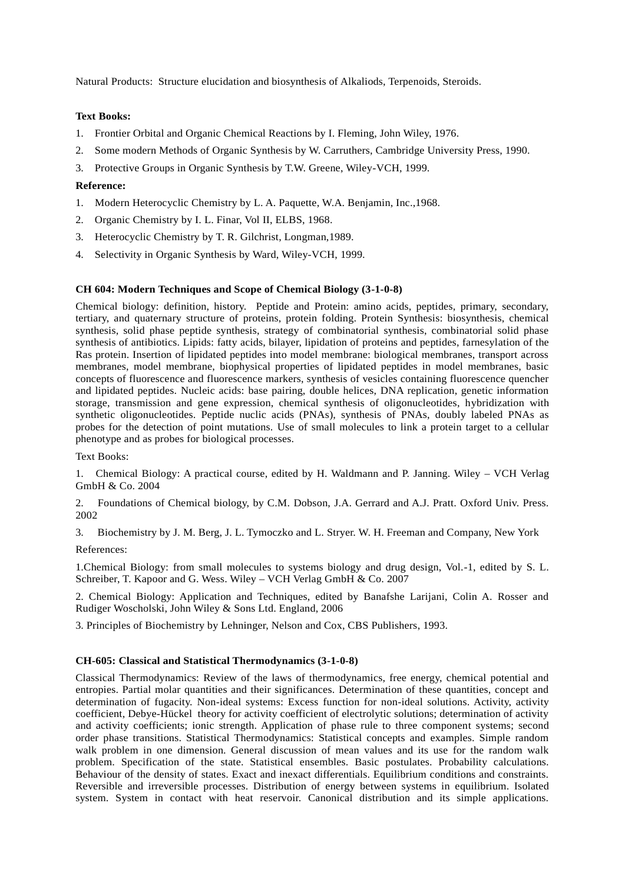Natural Products: Structure elucidation and biosynthesis of Alkaliods, Terpenoids, Steroids.

# **Text Books:**

- 1. Frontier Orbital and Organic Chemical Reactions by I. Fleming, John Wiley, 1976.
- 2. Some modern Methods of Organic Synthesis by W. Carruthers, Cambridge University Press, 1990.
- 3. Protective Groups in Organic Synthesis by T.W. Greene, Wiley-VCH, 1999.

### **Reference:**

- 1. Modern Heterocyclic Chemistry by L. A. Paquette, W.A. Benjamin, Inc.,1968.
- 2. Organic Chemistry by I. L. Finar, Vol II, ELBS, 1968.
- 3. Heterocyclic Chemistry by T. R. Gilchrist, Longman,1989.
- 4. Selectivity in Organic Synthesis by Ward, Wiley-VCH, 1999.

### **CH 604: Modern Techniques and Scope of Chemical Biology (3-1-0-8)**

Chemical biology: definition, history. Peptide and Protein: amino acids, peptides, primary, secondary, tertiary, and quaternary structure of proteins, protein folding. Protein Synthesis: biosynthesis, chemical synthesis, solid phase peptide synthesis, strategy of combinatorial synthesis, combinatorial solid phase synthesis of antibiotics. Lipids: fatty acids, bilayer, lipidation of proteins and peptides, farnesylation of the Ras protein. Insertion of lipidated peptides into model membrane: biological membranes, transport across membranes, model membrane, biophysical properties of lipidated peptides in model membranes, basic concepts of fluorescence and fluorescence markers, synthesis of vesicles containing fluorescence quencher and lipidated peptides. Nucleic acids: base pairing, double helices, DNA replication, genetic information storage, transmission and gene expression, chemical synthesis of oligonucleotides, hybridization with synthetic oligonucleotides. Peptide nuclic acids (PNAs), synthesis of PNAs, doubly labeled PNAs as probes for the detection of point mutations. Use of small molecules to link a protein target to a cellular phenotype and as probes for biological processes.

Text Books:

1. Chemical Biology: A practical course, edited by H. Waldmann and P. Janning. Wiley – VCH Verlag GmbH & Co. 2004

2. Foundations of Chemical biology, by C.M. Dobson, J.A. Gerrard and A.J. Pratt. Oxford Univ. Press. 2002

3. Biochemistry by J. M. Berg, J. L. Tymoczko and L. Stryer. W. H. Freeman and Company, New York

References:

1.Chemical Biology: from small molecules to systems biology and drug design, Vol.-1, edited by S. L. Schreiber, T. Kapoor and G. Wess. Wiley – VCH Verlag GmbH & Co. 2007

2. Chemical Biology: Application and Techniques, edited by Banafshe Larijani, Colin A. Rosser and Rudiger Woscholski, John Wiley & Sons Ltd. England, 2006

3. Principles of Biochemistry by Lehninger, Nelson and Cox, CBS Publishers, 1993.

#### **CH-605: Classical and Statistical Thermodynamics (3-1-0-8)**

Classical Thermodynamics: Review of the laws of thermodynamics, free energy, chemical potential and entropies. Partial molar quantities and their significances. Determination of these quantities, concept and determination of fugacity. Non-ideal systems: Excess function for non-ideal solutions. Activity, activity coefficient, Debye-Hückel theory for activity coefficient of electrolytic solutions; determination of activity and activity coefficients; ionic strength. Application of phase rule to three component systems; second order phase transitions. Statistical Thermodynamics: Statistical concepts and examples. Simple random walk problem in one dimension. General discussion of mean values and its use for the random walk problem. Specification of the state. Statistical ensembles. Basic postulates. Probability calculations. Behaviour of the density of states. Exact and inexact differentials. Equilibrium conditions and constraints. Reversible and irreversible processes. Distribution of energy between systems in equilibrium. Isolated system. System in contact with heat reservoir. Canonical distribution and its simple applications.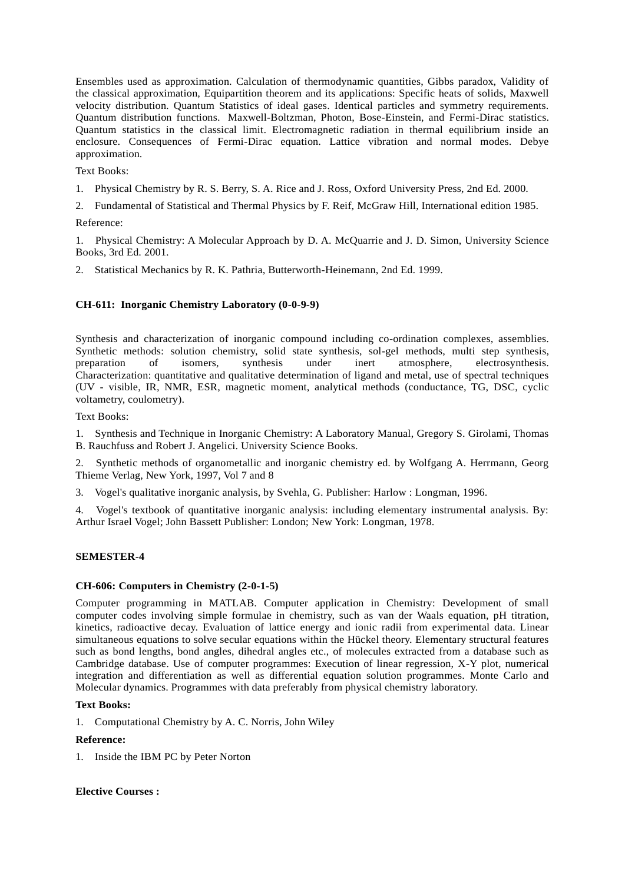Ensembles used as approximation. Calculation of thermodynamic quantities, Gibbs paradox, Validity of the classical approximation, Equipartition theorem and its applications: Specific heats of solids, Maxwell velocity distribution. Quantum Statistics of ideal gases. Identical particles and symmetry requirements. Quantum distribution functions. Maxwell-Boltzman, Photon, Bose-Einstein, and Fermi-Dirac statistics. Quantum statistics in the classical limit. Electromagnetic radiation in thermal equilibrium inside an enclosure. Consequences of Fermi-Dirac equation. Lattice vibration and normal modes. Debye approximation.

Text Books:

- 1. Physical Chemistry by R. S. Berry, S. A. Rice and J. Ross, Oxford University Press, 2nd Ed. 2000.
- 2. Fundamental of Statistical and Thermal Physics by F. Reif, McGraw Hill, International edition 1985.

#### Reference:

1. Physical Chemistry: A Molecular Approach by D. A. McQuarrie and J. D. Simon, University Science Books, 3rd Ed. 2001.

2. Statistical Mechanics by R. K. Pathria, Butterworth-Heinemann, 2nd Ed. 1999.

# **CH-611: Inorganic Chemistry Laboratory (0-0-9-9)**

Synthesis and characterization of inorganic compound including co-ordination complexes, assemblies. Synthetic methods: solution chemistry, solid state synthesis, sol-gel methods, multi step synthesis, preparation of isomers, synthesis under inert atmosphere. electrosynthesis. preparation of isomers, synthesis under inert atmosphere, electrosynthesis. Characterization: quantitative and qualitative determination of ligand and metal, use of spectral techniques (UV - visible, IR, NMR, ESR, magnetic moment, analytical methods (conductance, TG, DSC, cyclic voltametry, coulometry).

Text Books:

1. Synthesis and Technique in Inorganic Chemistry: A Laboratory Manual, Gregory S. Girolami, Thomas B. Rauchfuss and Robert J. Angelici. University Science Books.

2. Synthetic methods of organometallic and inorganic chemistry ed. by Wolfgang A. Herrmann, Georg Thieme Verlag, New York, 1997, Vol 7 and 8

3. Vogel's qualitative inorganic analysis, by Svehla, G. Publisher: Harlow : Longman, 1996.

4. Vogel's textbook of quantitative inorganic analysis: including elementary instrumental analysis. By: Arthur Israel Vogel; John Bassett Publisher: London; New York: Longman, 1978.

# **SEMESTER-4**

# **CH-606: Computers in Chemistry (2-0-1-5)**

Computer programming in MATLAB. Computer application in Chemistry: Development of small computer codes involving simple formulae in chemistry, such as van der Waals equation, pH titration, kinetics, radioactive decay. Evaluation of lattice energy and ionic radii from experimental data. Linear simultaneous equations to solve secular equations within the Hückel theory. Elementary structural features such as bond lengths, bond angles, dihedral angles etc., of molecules extracted from a database such as Cambridge database. Use of computer programmes: Execution of linear regression, X-Y plot, numerical integration and differentiation as well as differential equation solution programmes. Monte Carlo and Molecular dynamics. Programmes with data preferably from physical chemistry laboratory.

#### **Text Books:**

1. Computational Chemistry by A. C. Norris, John Wiley

#### **Reference:**

1. Inside the IBM PC by Peter Norton

#### **Elective Courses :**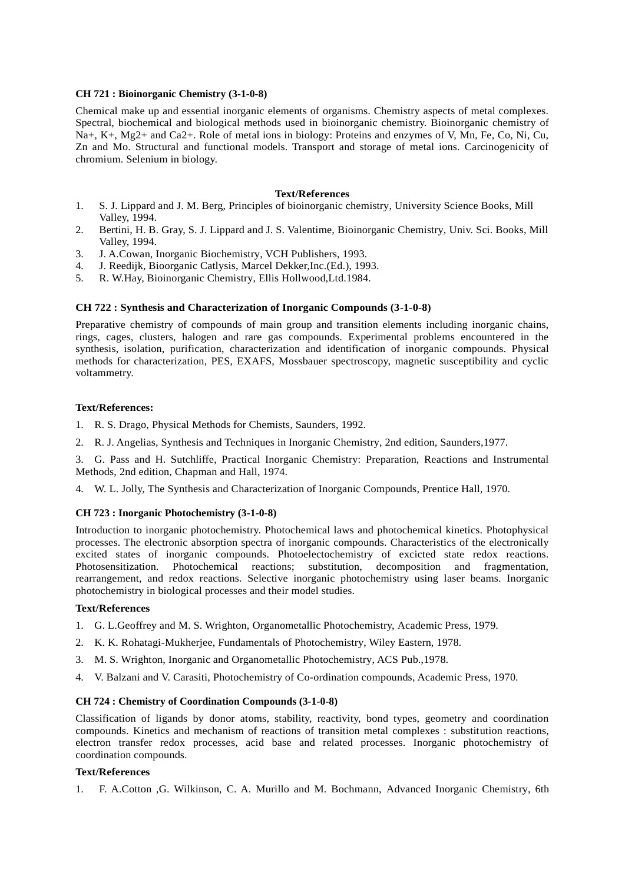# **CH 721 : Bioinorganic Chemistry (3-1-0-8)**

Chemical make up and essential inorganic elements of organisms. Chemistry aspects of metal complexes. Spectral, biochemical and biological methods used in bioinorganic chemistry. Bioinorganic chemistry of Na+, K+, Mg2+ and Ca2+. Role of metal ions in biology: Proteins and enzymes of V, Mn, Fe, Co, Ni, Cu, Zn and Mo. Structural and functional models. Transport and storage of metal ions. Carcinogenicity of chromium. Selenium in biology.

# **Text/References**

- 1. S. J. Lippard and J. M. Berg, Principles of bioinorganic chemistry, University Science Books, Mill Valley, 1994.
- 2. Bertini, H. B. Gray, S. J. Lippard and J. S. Valentime, Bioinorganic Chemistry, Univ. Sci. Books, Mill Valley, 1994.
- 3. J. A.Cowan, Inorganic Biochemistry, VCH Publishers, 1993.
- 4. J. Reedijk, Bioorganic Catlysis, Marcel Dekker,Inc.(Ed.), 1993.
- 5. R. W.Hay, Bioinorganic Chemistry, Ellis Hollwood,Ltd.1984.

# **CH 722 : Synthesis and Characterization of Inorganic Compounds (3-1-0-8)**

Preparative chemistry of compounds of main group and transition elements including inorganic chains, rings, cages, clusters, halogen and rare gas compounds. Experimental problems encountered in the synthesis, isolation, purification, characterization and identification of inorganic compounds. Physical methods for characterization, PES, EXAFS, Mossbauer spectroscopy, magnetic susceptibility and cyclic voltammetry.

#### **Text/References:**

- 1. R. S. Drago, Physical Methods for Chemists, Saunders, 1992.
- 2. R. J. Angelias, Synthesis and Techniques in Inorganic Chemistry, 2nd edition, Saunders,1977.

3. G. Pass and H. Sutchliffe, Practical Inorganic Chemistry: Preparation, Reactions and Instrumental Methods, 2nd edition, Chapman and Hall, 1974.

4. W. L. Jolly, The Synthesis and Characterization of Inorganic Compounds, Prentice Hall, 1970.

# **CH 723 : Inorganic Photochemistry (3-1-0-8)**

Introduction to inorganic photochemistry. Photochemical laws and photochemical kinetics. Photophysical processes. The electronic absorption spectra of inorganic compounds. Characteristics of the electronically excited states of inorganic compounds. Photoelectochemistry of excicted state redox reactions. Photosensitization. Photochemical reactions; substitution, decomposition and fragmentation, rearrangement, and redox reactions. Selective inorganic photochemistry using laser beams. Inorganic photochemistry in biological processes and their model studies.

#### **Text/References**

- 1. G. L.Geoffrey and M. S. Wrighton, Organometallic Photochemistry, Academic Press, 1979.
- 2. K. K. Rohatagi-Mukherjee, Fundamentals of Photochemistry, Wiley Eastern, 1978.
- 3. M. S. Wrighton, Inorganic and Organometallic Photochemistry, ACS Pub.,1978.
- 4. V. Balzani and V. Carasiti, Photochemistry of Co-ordination compounds, Academic Press, 1970.

#### **CH 724 : Chemistry of Coordination Compounds (3-1-0-8)**

Classification of ligands by donor atoms, stability, reactivity, bond types, geometry and coordination compounds. Kinetics and mechanism of reactions of transition metal complexes : substitution reactions, electron transfer redox processes, acid base and related processes. Inorganic photochemistry of coordination compounds.

# **Text/References**

1. F. A.Cotton ,G. Wilkinson, C. A. Murillo and M. Bochmann, Advanced Inorganic Chemistry, 6th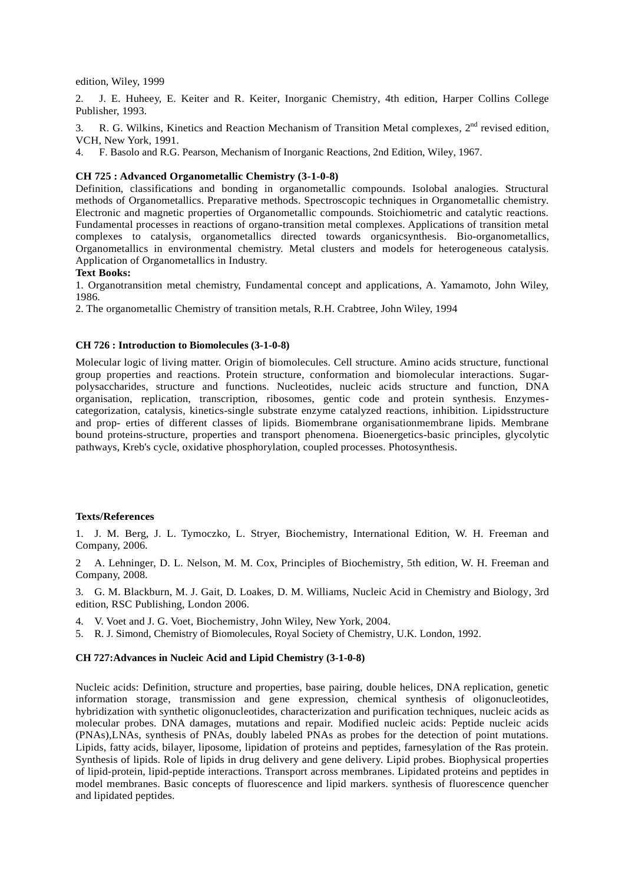edition, Wiley, 1999

2. J. E. Huheey, E. Keiter and R. Keiter, Inorganic Chemistry, 4th edition, Harper Collins College Publisher, 1993.

3. R. G. Wilkins, Kinetics and Reaction Mechanism of Transition Metal complexes, 2<sup>nd</sup> revised edition. VCH, New York, 1991.

4. F. Basolo and R.G. Pearson, Mechanism of Inorganic Reactions, 2nd Edition, Wiley, 1967.

# **CH 725 : Advanced Organometallic Chemistry (3-1-0-8)**

Definition, classifications and bonding in organometallic compounds. Isolobal analogies. Structural methods of Organometallics. Preparative methods. Spectroscopic techniques in Organometallic chemistry. Electronic and magnetic properties of Organometallic compounds. Stoichiometric and catalytic reactions. Fundamental processes in reactions of organo-transition metal complexes. Applications of transition metal complexes to catalysis, organometallics directed towards organicsynthesis. Bio-organometallics, Organometallics in environmental chemistry. Metal clusters and models for heterogeneous catalysis. Application of Organometallics in Industry.

### **Text Books:**

1. Organotransition metal chemistry, Fundamental concept and applications, A. Yamamoto, John Wiley, 1986.

2. The organometallic Chemistry of transition metals, R.H. Crabtree, John Wiley, 1994

# **CH 726 : Introduction to Biomolecules (3-1-0-8)**

Molecular logic of living matter. Origin of biomolecules. Cell structure. Amino acids structure, functional group properties and reactions. Protein structure, conformation and biomolecular interactions. Sugar polysaccharides, structure and functions. Nucleotides, nucleic acids structure and function, DNA organisation, replication, transcription, ribosomes, gentic code and protein synthesis. Enzymes categorization, catalysis, kinetics-single substrate enzyme catalyzed reactions, inhibition. Lipidsstructure and prop- erties of different classes of lipids. Biomembrane organisationmembrane lipids. Membrane bound proteins-structure, properties and transport phenomena. Bioenergetics-basic principles, glycolytic pathways, Kreb's cycle, oxidative phosphorylation, coupled processes. Photosynthesis.

#### **Texts/References**

1. J. M. Berg, J. L. Tymoczko, L. Stryer, Biochemistry, International Edition, W. H. Freeman and Company, 2006.

2 A. Lehninger, D. L. Nelson, M. M. Cox, Principles of Biochemistry, 5th edition, W. H. Freeman and Company, 2008.

3. G. M. Blackburn, M. J. Gait, D. Loakes, D. M. Williams, Nucleic Acid in Chemistry and Biology, 3rd edition, RSC Publishing, London 2006.

- 4. V. Voet and J. G. Voet, Biochemistry, John Wiley, New York, 2004.
- 5. R. J. Simond, Chemistry of Biomolecules, Royal Society of Chemistry, U.K. London, 1992.

#### **CH 727:Advances in Nucleic Acid and Lipid Chemistry (3-1-0-8)**

Nucleic acids: Definition, structure and properties, base pairing, double helices, DNA replication, genetic information storage, transmission and gene expression, chemical synthesis of oligonucleotides, hybridization with synthetic oligonucleotides, characterization and purification techniques, nucleic acids as molecular probes. DNA damages, mutations and repair. Modified nucleic acids: Peptide nucleic acids (PNAs),LNAs, synthesis of PNAs, doubly labeled PNAs as probes for the detection of point mutations. Lipids, fatty acids, bilayer, liposome, lipidation of proteins and peptides, farnesylation of the Ras protein. Synthesis of lipids. Role of lipids in drug delivery and gene delivery. Lipid probes. Biophysical properties of lipid-protein, lipid-peptide interactions. Transport across membranes. Lipidated proteins and peptides in model membranes. Basic concepts of fluorescence and lipid markers. synthesis of fluorescence quencher and lipidated peptides.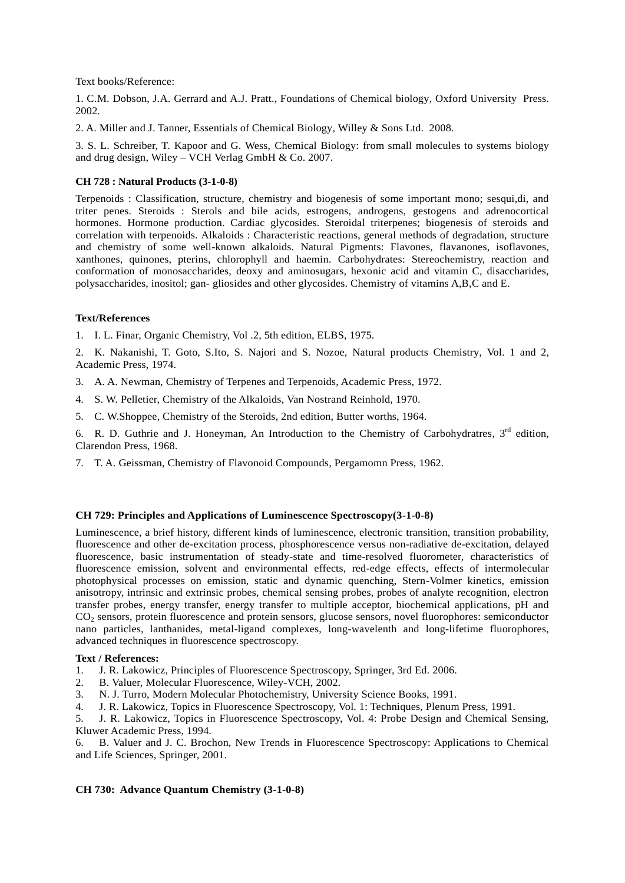Text books/Reference:

1. C.M. Dobson, J.A. Gerrard and A.J. Pratt., Foundations of Chemical biology, Oxford University Press. 2002.

2. A. Miller and J. Tanner, Essentials of Chemical Biology, Willey & Sons Ltd. 2008.

3. S. L. Schreiber, T. Kapoor and G. Wess, Chemical Biology: from small molecules to systems biology and drug design, Wiley – VCH Verlag GmbH  $& Co. 2007$ .

# **CH 728 : Natural Products (3-1-0-8)**

Terpenoids : Classification, structure, chemistry and biogenesis of some important mono; sesqui,di, and triter penes. Steroids : Sterols and bile acids, estrogens, androgens, gestogens and adrenocortical hormones. Hormone production. Cardiac glycosides. Steroidal triterpenes; biogenesis of steroids and correlation with terpenoids. Alkaloids : Characteristic reactions, general methods of degradation, structure and chemistry of some well-known alkaloids. Natural Pigments: Flavones, flavanones, isoflavones, xanthones, quinones, pterins, chlorophyll and haemin. Carbohydrates: Stereochemistry, reaction and conformation of monosaccharides, deoxy and aminosugars, hexonic acid and vitamin C, disaccharides, polysaccharides, inositol; gan- gliosides and other glycosides. Chemistry of vitamins A,B,C and E.

# **Text/References**

1. I. L. Finar, Organic Chemistry, Vol .2, 5th edition, ELBS, 1975.

2. K. Nakanishi, T. Goto, S.Ito, S. Najori and S. Nozoe, Natural products Chemistry, Vol. 1 and 2, Academic Press, 1974.

- 3. A. A. Newman, Chemistry of Terpenes and Terpenoids, Academic Press, 1972.
- 4. S. W. Pelletier, Chemistry of the Alkaloids, Van Nostrand Reinhold, 1970.
- 5. C. W.Shoppee, Chemistry of the Steroids, 2nd edition, Butter worths, 1964.

6. R. D. Guthrie and J. Honeyman, An Introduction to the Chemistry of Carbohydratres,  $3<sup>rd</sup>$  edition, Clarendon Press, 1968.

7. T. A. Geissman, Chemistry of Flavonoid Compounds, Pergamomn Press, 1962.

# **CH 729: Principles and Applications of Luminescence Spectroscopy(3-1-0-8)**

Luminescence, a brief history, different kinds of luminescence, electronic transition, transition probability, fluorescence and other de-excitation process, phosphorescence versus non-radiative de-excitation, delayed fluorescence, basic instrumentation of steady-state and time-resolved fluorometer, characteristics of fluorescence emission, solvent and environmental effects, red-edge effects, effects of intermolecular photophysical processes on emission, static and dynamic quenching, Stern-Volmer kinetics, emission anisotropy, intrinsic and extrinsic probes, chemical sensing probes, probes of analyte recognition, electron transfer probes, energy transfer, energy transfer to multiple acceptor, biochemical applications, pH and CO<sup>2</sup> sensors, protein fluorescence and protein sensors, glucose sensors, novel fluorophores: semiconductor nano particles, lanthanides, metal-ligand complexes, long-wavelenth and long-lifetime fluorophores, advanced techniques in fluorescence spectroscopy.

#### **Text / References:**

- 1. J. R. Lakowicz, Principles of Fluorescence Spectroscopy, Springer, 3rd Ed. 2006.
- 2. B. Valuer, Molecular Fluorescence, Wiley-VCH, 2002.
- 3. N. J. Turro, Modern Molecular Photochemistry, University Science Books, 1991.
- 4. J. R. Lakowicz, Topics in Fluorescence Spectroscopy, Vol. 1: Techniques, Plenum Press, 1991.

5. J. R. Lakowicz, Topics in Fluorescence Spectroscopy, Vol. 4: Probe Design and Chemical Sensing, Kluwer Academic Press, 1994.

6. B. Valuer and J. C. Brochon, New Trends in Fluorescence Spectroscopy: Applications to Chemical and Life Sciences, Springer, 2001.

# **CH 730: Advance Quantum Chemistry (3-1-0-8)**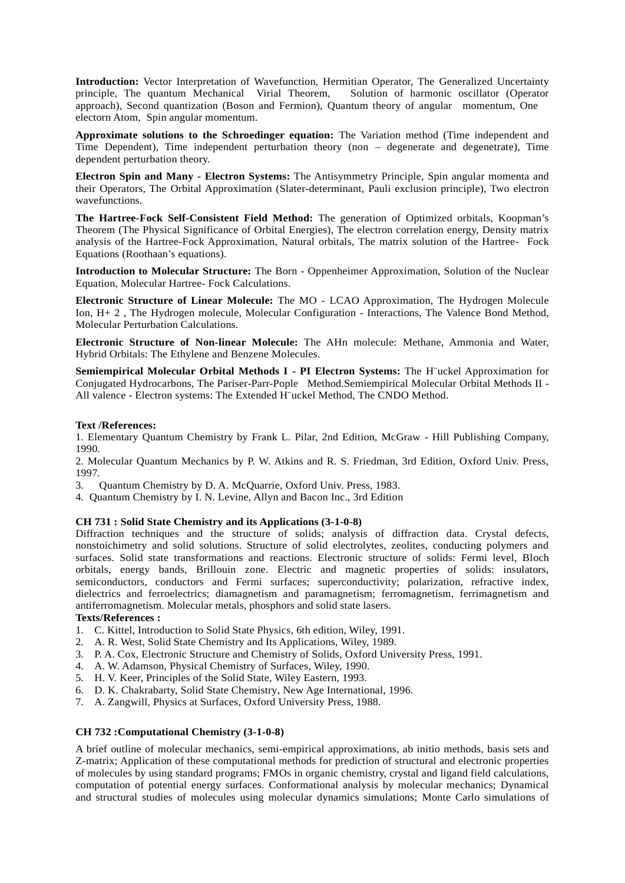**Introduction:** Vector Interpretation of Wavefunction, Hermitian Operator, The Generalized Uncertainty principle, The quantum Mechanical Virial Theorem, Solution of harmonic oscillator (Operator approach), Second quantization (Boson and Fermion), Quantum theory of angular momentum, One electorn Atom, Spin angular momentum.

**Approximate solutions to the Schroedinger equation:** The Variation method (Time independent and Time Dependent), Time independent perturbation theory (non – degenerate and degenetrate), Time dependent perturbation theory.

**Electron Spin and Many - Electron Systems:** The Antisymmetry Principle, Spin angular momenta and their Operators, The Orbital Approximation (Slater-determinant, Pauli exclusion principle), Two electron wavefunctions.

**The Hartree-Fock Self-Consistent Field Method:** The generation of Optimized orbitals, Koopman's Theorem (The Physical Significance of Orbital Energies), The electron correlation energy, Density matrix analysis of the Hartree-Fock Approximation, Natural orbitals, The matrix solution of the Hartree- Fock Equations (Roothaan's equations).

**Introduction to Molecular Structure:** The Born - Oppenheimer Approximation, Solution of the Nuclear Equation, Molecular Hartree- Fock Calculations.

**Electronic Structure of Linear Molecule:** The MO - LCAO Approximation, The Hydrogen Molecule Ion, H+ 2 , The Hydrogen molecule, Molecular Configuration - Interactions, The Valence Bond Method, Molecular Perturbation Calculations.

**Electronic Structure of Non-linear Molecule:** The AHn molecule: Methane, Ammonia and Water, Hybrid Orbitals: The Ethylene and Benzene Molecules.

**Semiempirical Molecular Orbital Methods I - PI Electron Systems:** The H¨uckel Approximation for Conjugated Hydrocarbons, The Pariser-Parr-Pople Method.Semiempirical Molecular Orbital Methods II - All valence - Electron systems: The Extended H¨uckel Method, The CNDO Method.

# **Text /References:**

1. Elementary Quantum Chemistry by Frank L. Pilar, 2nd Edition, McGraw - Hill Publishing Company, 1990.

2. Molecular Quantum Mechanics by P. W. Atkins and R. S. Friedman, 3rd Edition, Oxford Univ. Press, 1997.

3. Quantum Chemistry by D. A. McQuarrie, Oxford Univ. Press, 1983.

4. Quantum Chemistry by I. N. Levine, Allyn and Bacon Inc., 3rd Edition

# **CH 731 : Solid State Chemistry and its Applications (3-1-0-8)**

Diffraction techniques and the structure of solids; analysis of diffraction data. Crystal defects, nonstoichimetry and solid solutions. Structure of solid electrolytes, zeolites, conducting polymers and surfaces. Solid state transformations and reactions. Electronic structure of solids: Fermi level, Bloch orbitals, energy bands, Brillouin zone. Electric and magnetic properties of solids: insulators, semiconductors, conductors and Fermi surfaces; superconductivity; polarization, refractive index, dielectrics and ferroelectrics; diamagnetism and paramagnetism; ferromagnetism, ferrimagnetism and antiferromagnetism. Molecular metals, phosphors and solid state lasers.

### **Texts/References :**

- 1. C. Kittel, Introduction to Solid State Physics, 6th edition, Wiley, 1991.
- 2. A. R. West, Solid State Chemistry and Its Applications, Wiley, 1989.
- 3. P. A. Cox, Electronic Structure and Chemistry of Solids, Oxford University Press, 1991.
- 4. A. W. Adamson, Physical Chemistry of Surfaces, Wiley, 1990.
- 5. H. V. Keer, Principles of the Solid State, Wiley Eastern, 1993.
- 6. D. K. Chakrabarty, Solid State Chemistry, New Age International, 1996.
- 7. A. Zangwill, Physics at Surfaces, Oxford University Press, 1988.

# **CH 732 :Computational Chemistry (3-1-0-8)**

A brief outline of molecular mechanics, semi-empirical approximations, ab initio methods, basis sets and Z-matrix; Application of these computational methods for prediction of structural and electronic properties of molecules by using standard programs; FMOs in organic chemistry, crystal and ligand field calculations, computation of potential energy surfaces. Conformational analysis by molecular mechanics; Dynamical and structural studies of molecules using molecular dynamics simulations; Monte Carlo simulations of